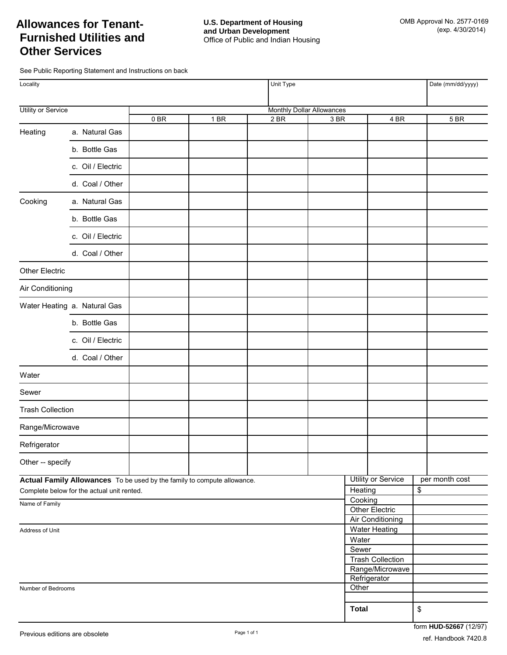# **Allowances for Tenant-Furnished Utilities and Other Services**

See Public Reporting Statement and Instructions on back

| Locality                                   |                              |    |                                                                         | Unit Type |                                  |              |                                            |    | Date (mm/dd/yyyy) |
|--------------------------------------------|------------------------------|----|-------------------------------------------------------------------------|-----------|----------------------------------|--------------|--------------------------------------------|----|-------------------|
| Utility or Service                         |                              |    |                                                                         |           | <b>Monthly Dollar Allowances</b> |              |                                            |    |                   |
|                                            |                              | 0B | $1$ BR                                                                  | 2 BR      | 3 BR                             |              | 4 BR                                       |    | 5 BR              |
| Heating                                    | a. Natural Gas               |    |                                                                         |           |                                  |              |                                            |    |                   |
|                                            | b. Bottle Gas                |    |                                                                         |           |                                  |              |                                            |    |                   |
|                                            | c. Oil / Electric            |    |                                                                         |           |                                  |              |                                            |    |                   |
|                                            | d. Coal / Other              |    |                                                                         |           |                                  |              |                                            |    |                   |
| Cooking                                    | a. Natural Gas               |    |                                                                         |           |                                  |              |                                            |    |                   |
|                                            | b. Bottle Gas                |    |                                                                         |           |                                  |              |                                            |    |                   |
|                                            | c. Oil / Electric            |    |                                                                         |           |                                  |              |                                            |    |                   |
|                                            | d. Coal / Other              |    |                                                                         |           |                                  |              |                                            |    |                   |
| Other Electric                             |                              |    |                                                                         |           |                                  |              |                                            |    |                   |
| Air Conditioning                           |                              |    |                                                                         |           |                                  |              |                                            |    |                   |
|                                            | Water Heating a. Natural Gas |    |                                                                         |           |                                  |              |                                            |    |                   |
|                                            | b. Bottle Gas                |    |                                                                         |           |                                  |              |                                            |    |                   |
|                                            | c. Oil / Electric            |    |                                                                         |           |                                  |              |                                            |    |                   |
|                                            | d. Coal / Other              |    |                                                                         |           |                                  |              |                                            |    |                   |
| Water                                      |                              |    |                                                                         |           |                                  |              |                                            |    |                   |
| Sewer                                      |                              |    |                                                                         |           |                                  |              |                                            |    |                   |
| <b>Trash Collection</b>                    |                              |    |                                                                         |           |                                  |              |                                            |    |                   |
| Range/Microwave                            |                              |    |                                                                         |           |                                  |              |                                            |    |                   |
| Refrigerator                               |                              |    |                                                                         |           |                                  |              |                                            |    |                   |
| Other -- specify                           |                              |    |                                                                         |           |                                  |              |                                            |    |                   |
|                                            |                              |    | Actual Family Allowances To be used by the family to compute allowance. |           |                                  |              | Utility or Service                         |    | per month cost    |
| Complete below for the actual unit rented. |                              |    |                                                                         |           |                                  | Heating      |                                            | \$ |                   |
| Name of Family                             |                              |    |                                                                         |           |                                  |              | Cooking<br>Other Electric                  |    |                   |
|                                            |                              |    |                                                                         |           |                                  |              | <b>Air Conditioning</b>                    |    |                   |
| Address of Unit                            |                              |    |                                                                         |           |                                  |              | <b>Water Heating</b>                       |    |                   |
|                                            |                              |    |                                                                         |           |                                  |              | Water                                      |    |                   |
|                                            |                              |    |                                                                         |           |                                  |              | Sewer                                      |    |                   |
|                                            |                              |    |                                                                         |           |                                  |              | <b>Trash Collection</b><br>Range/Microwave |    |                   |
|                                            |                              |    |                                                                         |           |                                  |              | Refrigerator                               |    |                   |
| Number of Bedrooms                         |                              |    |                                                                         |           |                                  | Other        |                                            |    |                   |
|                                            |                              |    |                                                                         |           |                                  |              |                                            |    |                   |
|                                            |                              |    |                                                                         |           |                                  | <b>Total</b> |                                            | \$ |                   |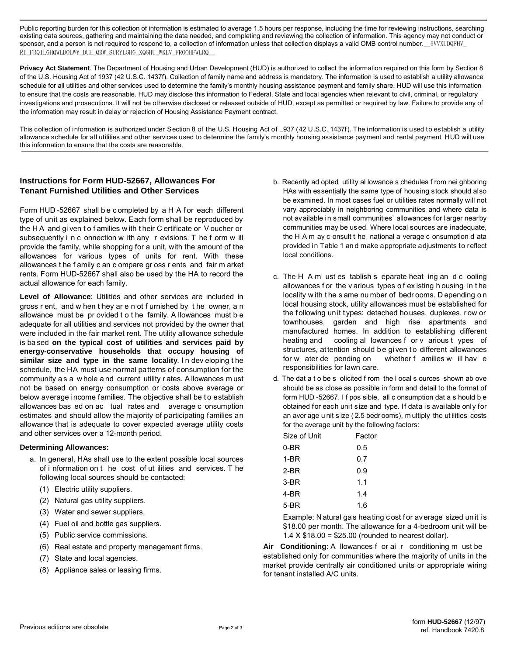Public reporting burden for this collection of information is estimated to average 1.5 hours per response, including the time for reviewing instructions, searching existing data sources, gathering and maintaining the data needed, and completing and reviewing the collection of information. This agency may not conduct or sponsor, and a person is not required to respond to, a collection of information unless that collection displays a valid OMB control number. \$VVXUDQFHV RI\_FRQILGHQWLDOLW\\_DUH\_QRW\_SURYLGHG\_XQGHU\_WKLV\_FROOHFWLRQ\_\_

**Privacy Act Statement**. The Department of Housing and Urban Development (HUD) is authorized to collect the information required on this form by Section 8 of the U.S. Housing Act of 1937 (42 U.S.C. 1437f). Collection of family name and address is mandatory. The information is used to establish a utility allowance schedule for all utilities and other services used to determine the family's monthly housing assistance payment and family share. HUD will use this information to ensure that the costs are reasonable. HUD may disclose this information to Federal, State and local agencies when relevant to civil, criminal, or regulatory investigations and prosecutions. It will not be otherwise disclosed or released outside of HUD, except as permitted or required by law. Failure to provide any of the information may result in delay or rejection of Housing Assistance Payment contract.

This collection of information is authorized under Section 8 of the U.S. Housing Act of  $937$  (42 U.S.C. 1437f). The information is used to establish a utility allowance schedule for all utilities and o ther services used to determine the family's monthly housing assistance payment and rental payment. HUD will use this information to ensure that the costs are reasonable.

## **Instructions for Form HUD-52667, Allowances For Tenant Furnished Utilities and Other Services**

Form HUD -52667 shall be completed by a H A for each different type of unit as explained below. Each form shall be reproduced by the H A and gi ven t o f amilies w ith t heir C ertificate or V oucher or subsequently i n c onnection w ith any r evisions. T he f orm w ill provide the family, while shopping for a unit, with the amount of the allowances for various types of units for rent. With these allowances t he f amily c an c ompare gr oss r ents and fair m arket rents. Form HUD-52667 shall also be used by the HA to record the actual allowance for each family.

**Level of Allowance**: Utilities and other services are included in gross r ent, and w hen t hey ar e n ot f urnished by t he owner, a n allowance must be pr ovided t o t he family. A llowances must b e adequate for all utilities and services not provided by the owner that were included in the fair market rent. The utility allowance schedule is ba sed **on the typical cost of utilities and services paid by energy-conservative households that occupy housing of similar size and type in the same locality**. In developing the schedule, the HA must use normal patterns of consumption for the community a s a w hole a nd current utility r ates. A llowances m ust not be based on energy consumption or costs above average or below average income families. The objective shall be to establish allowances bas ed on ac tual rates and average c onsumption estimates and should allow the majority of participating families an allowance that is adequate to cover expected average utility costs and other services over a 12-month period.

#### **Determining Allowances:**

- a. In general, HAs shall use to the extent possible local sources of i nformation on t he cost of ut ilities and services. T he following local sources should be contacted:
	- (1) Electric utility suppliers.
	- (2) Natural gas utility suppliers.
	- (3) Water and sewer suppliers.
	- (4) Fuel oil and bottle gas suppliers.
	- (5) Public service commissions.
	- (6) Real estate and property management firms.
	- (7) State and local agencies.
	- (8) Appliance sales or leasing firms.
- b. Recently ad opted utility al lowance s chedules f rom nei ghboring HAs with essentially the same type of housing stock should also be examined. In most cases fuel or utilities rates normally will not vary appreciably in neighboring communities and where data is not available in small communities' allowances for larger nearby communities may be us ed. Where local sources are inadequate, the H A m ay c onsult t he national a verage c onsumption d ata provided in Table 1 an d make appropriate adjustments to reflect local conditions.
- c. The H A m ust es tablish s eparate heat ing an d c ooling allowances for the v arious types of existing h ousing in the locality w ith t he s ame nu mber of bedr ooms. D epending o n local housing stock, utility allowances must be established for the following unit types: detached houses, duplexes, row or townhouses, garden and high rise apartments and manufactured homes. In addition to establishing different heating and cooling al lowances f or v arious t ypes of structures, attention should be given to different allowances for w ater de pending on whether f amilies w ill hav e responsibilities for lawn care.
- d. The dat a t o be s olicited f rom the l ocal s ources shown ab ove should be as close as possible in form and detail to the format of form HUD -52667. I f pos sible, all c onsumption dat a s hould b e obtained for each unit size and type. If data is available only for an aver age u nit s ize ( 2.5 bedr ooms), m ultiply the ut ilities costs for the average unit by the following factors:

| Size of Unit | Factor |
|--------------|--------|
| 0-BR         | 0.5    |
| 1-BR         | 0.7    |
| 2-BR         | 0.9    |
| $3-BR$       | 1.1    |
| 4-BR         | 1.4    |
| 5-BR         | 1.6    |

Example: N atural gas heating cost for average sized unit is \$18.00 per month. The allowance for a 4-bedroom unit will be 1.4  $X$  \$18.00 = \$25.00 (rounded to nearest dollar).

**Air Conditioning**: A llowances f or ai r conditioning m ust be established only for communities where the majority of units in the market provide centrally air conditioned units or appropriate wiring for tenant installed A/C units.